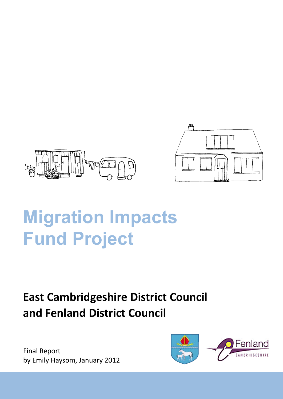



# **Migration Impacts Fund Project**

# **East Cambridgeshire District Council and Fenland District Council**

Final Report by Emily Haysom, January 2012

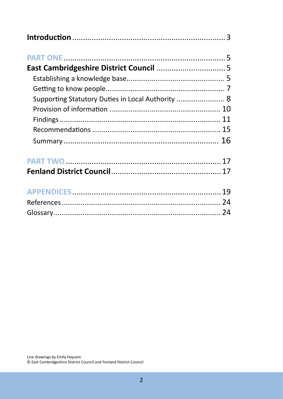| Supporting Statutory Duties in Local Authority  8 |  |
|---------------------------------------------------|--|
|                                                   |  |
|                                                   |  |
|                                                   |  |
|                                                   |  |
|                                                   |  |
|                                                   |  |
|                                                   |  |
|                                                   |  |
|                                                   |  |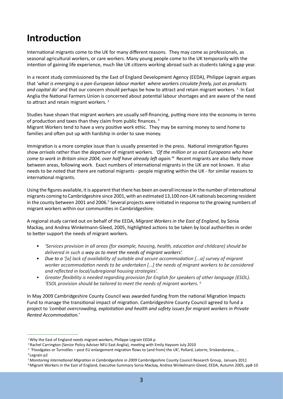# **Introduction**

International migrants come to the UK for many different reasons. They may come as professionals, as seasonal agricultural workers, or care workers. Many young people come to the UK temporarily with the intention of gaining life experience, much like UK citizens working abroad such as students taking a gap year.

In a recent study commissioned by the East of England Development Agency (EEDA), Philippe Legrain argues that '*what is emerging is a pan-European labour market where workers circulate freely, just as products*  and capital do' and that our concern should perhaps be how to attract and retain migrant workers.<sup>1</sup> In East Anglia the National Farmers Union is concerned about potential labour shortages and are aware of the need to attract and retain migrant workers.<sup>2</sup>

Studies have shown that migrant workers are usually self-financing, putting more into the economy in terms of production and taxes than they claim from public finances.<sup>3</sup> Migrant Workers tend to have a very positive work ethic. They may be earning money to send home to

families and often put up with hardship in order to save money.

Immigration is a more complex issue than is usually presented in the press. National immigration figures show *arrivals* rather than the *departure* of migrant workers. *'Of the million or so east Europeans who have come to work in Britain since 2004, over half have already left again.'<sup>4</sup>* Recent migrants are also likely move between areas, following work. Exact numbers of international migrants in the UK are not known. It also needs to be noted that there are national migrants - people migrating within the UK - for similar reasons to international migrants.

Using the figures available, it is apparent that there has been an overall increase in the number of international migrants coming to Cambridgeshire since 2001, with an estimated 13,100 non-UK nationals becoming resident in the county between 2001 and 2006.<sup>5</sup> Several projects were initiated in response to the growing numbers of migrant workers within our communities in Cambridgeshire.

A regional study carried out on behalf of the EEDA, *Migrant Workers in the East of England*, by Sonia Mackay, and Andrea Winkelmann-Gleed, 2005, highlighted actions to be taken by local authorities in order to better support the needs of migrant workers.

- *'Services provision in all areas (for example, housing, health, education and childcare) should be delivered in such a way as to meet the needs of migrant workers'. •*
- *Due to a '[a] lack of availability of suitable and secure accommodation [...a] survey of migrant worker accommodation needs to be undertaken [...] the needs of migrant workers to be considered and reflected in local/subregional housing strategies'. •*
- *Greater flexibility is needed regarding provision for English for speakers of other language (ESOL). 'ESOL provision should be tailored to meet the needs of migrant workers.* <sup>6</sup> *•*

In May 2009 Cambridgeshire County Council was awarded funding from the national Migration Impacts Fund to manage the transitional impact of migration. Cambridgeshire County Council agreed to fund a project to *'combat overcrowding, exploitation and health and safety issues for migrant workers in Private Rented Accommodation.'*

<sup>&</sup>lt;sup>1</sup> Why the East of England needs migrant workers, Philippe Legrain EEDA p

<sup>&</sup>lt;sup>2</sup> Rachel Carrington (Senior Policy Adviser NFU East Anglia), meeting with Emily Haysom July 2010

<sup>&</sup>lt;sup>3</sup> 'Floodgates or Turnstiles – post EU enlargement migration flows to (and from) the UK', Pollard, Latorre, Sriskandarana, ...

<sup>4</sup>Legrain p2

*<sup>5</sup>Monitoring International Migration in Cambridgeshire in 2009* Cambridgeshire County Council Research Group, January 2011

<sup>6</sup> Migrant Workers in the East of England, Executive Summary Sonia Mackay, Andrea Winkelmann-Gleed, EEDA, Autumn 2005, pp8-10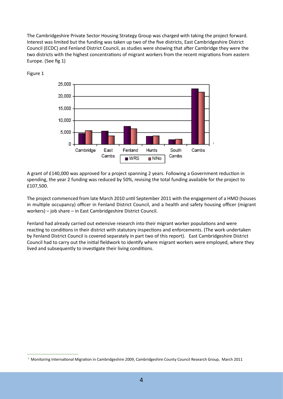The Cambridgeshire Private Sector Housing Strategy Group was charged with taking the project forward. Interest was limited but the funding was taken up two of the five districts, East Cambridgeshire District Council (ECDC) and Fenland District Council, as studies were showing that after Cambridge they were the two districts with the highest concentrations of migrant workers from the recent migrations from eastern Europe. (See fig 1)



Figure 1

A grant of £140,000 was approved for a project spanning 2 years. Following a Government reduction in spending, the year 2 funding was reduced by 50%, revising the total funding available for the project to £107,500.

The project commenced from late March 2010 until September 2011 with the engagement of a HMO (houses in multiple occupancy) officer in Fenland District Council, and a health and safety housing officer (migrant workers) – job share – in East Cambridgeshire District Council.

Fenland had already carried out extensive research into their migrant worker populations and were reacting to conditions in their district with statutory inspections and enforcements. (The work undertaken by Fenland District Council is covered separately in part two of this report). East Cambridgeshire District Council had to carry out the initial fieldwork to identify where migrant workers were employed, where they lived and subsequently to investigate their living conditions.

<sup>7</sup>Monitoring International Migration in Cambridgeshire 2009, Cambridgeshire County Council Research Group, March 2011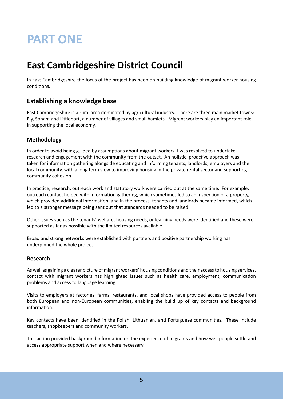# **PART ONE**

# **East Cambridgeshire District Council**

In East Cambridgeshire the focus of the project has been on building knowledge of migrant worker housing conditions.

### **Establishing a knowledge base**

East Cambridgeshire is a rural area dominated by agricultural industry. There are three main market towns: Ely, Soham and Littleport, a number of villages and small hamlets. Migrant workers play an important role in supporting the local economy.

#### **Methodology**

In order to avoid being guided by assumptions about migrant workers it was resolved to undertake research and engagement with the community from the outset. An holistic, proactive approach was taken for information gathering alongside educating and informing tenants, landlords, employers and the local community, with a long term view to improving housing in the private rental sector and supporting community cohesion.

In practice, research, outreach work and statutory work were carried out at the same time. For example, outreach contact helped with information gathering, which sometimes led to an inspection of a property, which provided additional information, and in the process, tenants and landlords became informed, which led to a stronger message being sent out that standards needed to be raised.

Other issues such as the tenants' welfare, housing needs, or learning needs were identified and these were supported as far as possible with the limited resources available.

Broad and strong networks were established with partners and positive partnership working has underpinned the whole project.

#### **Research**

As well as gaining a clearer picture of migrant workers' housing conditions and their access to housing services, contact with migrant workers has highlighted issues such as health care, employment, communication problems and access to language learning.

Visits to employers at factories, farms, restaurants, and local shops have provided access to people from both European and non-European communities, enabling the build up of key contacts and background information.

Key contacts have been identified in the Polish, Lithuanian, and Portuguese communities. These include teachers, shopkeepers and community workers.

This action provided background information on the experience of migrants and how well people settle and access appropriate support when and where necessary.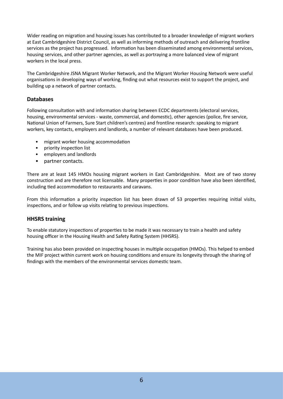Wider reading on migration and housing issues has contributed to a broader knowledge of migrant workers at East Cambridgeshire District Council, as well as informing methods of outreach and delivering frontline services as the project has progressed. Information has been disseminated among environmental services, housing services, and other partner agencies, as well as portraying a more balanced view of migrant workers in the local press.

The Cambridgeshire JSNA Migrant Worker Network, and the Migrant Worker Housing Network were useful organisations in developing ways of working, finding out what resources exist to support the project, and building up a network of partner contacts.

#### **Databases**

Following consultation with and information sharing between ECDC departments (electoral services, housing, environmental services - waste, commercial, and domestic), other agencies (police, fire service, National Union of Farmers, Sure Start children's centres) and frontline research: speaking to migrant workers, key contacts, employers and landlords, a number of relevant databases have been produced.

- migrant worker housing accommodation •
- priority inspection list •
- employers and landlords •
- partner contacts. •

There are at least 145 HMOs housing migrant workers in East Cambridgeshire. Most are of two storey construction and are therefore not licensable. Many properties in poor condition have also been identified, including tied accommodation to restaurants and caravans.

From this information a priority inspection list has been drawn of 53 properties requiring initial visits, inspections, and or follow up visits relating to previous inspections.

#### **HHSRS training**

To enable statutory inspections of properties to be made it was necessary to train a health and safety housing officer in the Housing Health and Safety Rating System (HHSRS).

Training has also been provided on inspecting houses in multiple occupation (HMOs). This helped to embed the MIF project within current work on housing conditions and ensure its longevity through the sharing of findings with the members of the environmental services domestic team.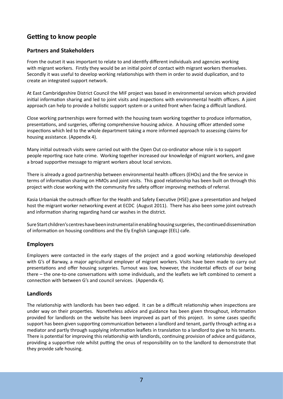# **Getting to know people**

#### **Partners and Stakeholders**

From the outset it was important to relate to and identify different individuals and agencies working with migrant workers. Firstly they would be an initial point of contact with migrant workers themselves. Secondly it was useful to develop working relationships with them in order to avoid duplication, and to create an integrated support network.

At East Cambridgeshire District Council the MIF project was based in environmental services which provided initial information sharing and led to joint visits and inspections with environmental health officers. A joint approach can help to provide a holistic support system or a united front when facing a difficult landlord.

Close working partnerships were formed with the housing team working together to produce information, presentations, and surgeries, offering comprehensive housing advice. A housing officer attended some inspections which led to the whole department taking a more informed approach to assessing claims for housing assistance. (Appendix 4).

Many initial outreach visits were carried out with the Open Out co-ordinator whose role is to support people reporting race hate crime. Working together increased our knowledge of migrant workers, and gave a broad supportive message to migrant workers about local services.

There is already a good partnership between environmental health officers (EHOs) and the fire service in terms of information sharing on HMOs and joint visits. This good relationship has been built on through this project with close working with the community fire safety officer improving methods of referral.

Kasia Urbaniak the outreach officer for the Health and Safety Executive (HSE) gave a presentation and helped host the migrant worker networking event at ECDC (August 2011). There has also been some joint outreach and information sharing regarding hand car washes in the district.

Sure Start children's centres have been instrumental in enabling housing surgeries, the continued dissemination of information on housing conditions and the Ely English Language (EEL) cafe.

#### **Employers**

Employers were contacted in the early stages of the project and a good working relationship developed with G's of Barway, a major agricultural employer of migrant workers. Visits have been made to carry out presentations and offer housing surgeries. Turnout was low, however, the incidental effects of our being there – the one-to-one conversations with some individuals, and the leaflets we left combined to cement a connection with between G's and council services. (Appendix 4).

#### **Landlords**

The relationship with landlords has been two edged. It can be a difficult relationship when inspections are under way on their properties. Nonetheless advice and guidance has been given throughout, information provided for landlords on the website has been improved as part of this project. In some cases specific support has been given supporting communication between a landlord and tenant, partly through acting as a mediator and partly through supplying information leaflets in translation to a landlord to give to his tenants. There is potential for improving this relationship with landlords, continuing provision of advice and guidance, providing a supportive role whilst putting the onus of responsibility on to the landlord to demonstrate that they provide safe housing.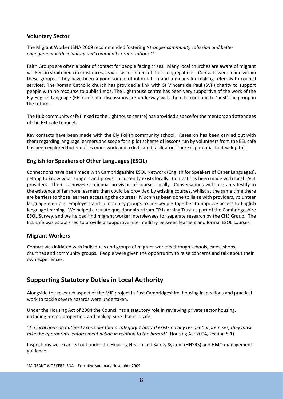#### **Voluntary Sector**

The Migrant Worker JSNA 2009 recommended fostering *'stronger community cohesion and better engagement with voluntary and community organisations.'* <sup>8</sup>

Faith Groups are often a point of contact for people facing crises. Many local churches are aware of migrant workers in straitened circumstances, as well as members of their congregations. Contacts were made within these groups. They have been a good source of information and a means for making referrals to council services. The Roman Catholic church has provided a link with St Vincent de Paul (SVP) charity to support people with no recourse to public funds. The Lighthouse centre has been very supportive of the work of the Ely English Language (EEL) cafe and discussions are underway with them to continue to 'host' the group in the future.

The Hub community cafe (linked to the Lighthouse centre) has provided a space for the mentors and attendees of the EEL cafe to meet.

Key contacts have been made with the Ely Polish community school. Research has been carried out with them regarding language learners and scope for a pilot scheme of lessons run by volunteers from the EEL cafe has been explored but requires more work and a dedicated facilitator. There is potential to develop this.

#### **English for Speakers of Other Languages (ESOL)**

Connections have been made with Cambridgeshire ESOL Network (English for Speakers of Other Languages), getting to know what support and provision currently exists locally. Contact has been made with local ESOL providers. There is, however, minimal provision of courses locally. Conversations with migrants testify to the existence of far more learners than could be provided by existing courses, whilst at the same time there are barriers to those learners accessing the courses. Much has been done to liaise with providers, volunteer language mentors, employers and community groups to link people together to improve access to English language learning. We helped circulate questionnaires from CP Learning Trust as part of the Cambridgeshire ESOL Survey, and we helped find migrant worker interviewees for separate research by the CHS Group. The EEL cafe was established to provide a supportive intermediary between learners and formal ESOL courses.

#### **Migrant Workers**

Contact was initiated with individuals and groups of migrant workers through schools, cafes, shops, churches and community groups. People were given the opportunity to raise concerns and talk about their own experiences.

# **Supporting Statutory Duties in Local Authority**

Alongside the research aspect of the MIF project in East Cambridgeshire, housing inspections and practical work to tackle severe hazards were undertaken.

Under the Housing Act of 2004 the Council has a statutory role in reviewing private sector housing, including rented properties, and making sure that it is safe.

*'If a local housing authority consider that a category 1 hazard exists on any residential premises, they must take the appropriate enforcement action in relation to the hazard.'* (Housing Act 2004, section 5.1)

Inspections were carried out under the Housing Health and Safety System (HHSRS) and HMO management guidance.

<sup>8</sup> MIGRANT WORKERS JSNA – Executive summary November 2009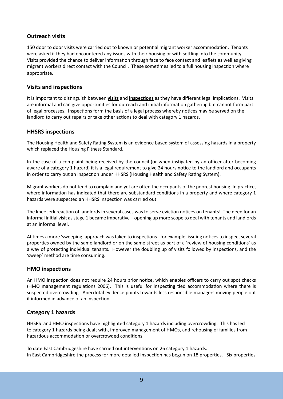#### **Outreach visits**

150 door to door visits were carried out to known or potential migrant worker accommodation. Tenants were asked if they had encountered any issues with their housing or with settling into the community. Visits provided the chance to deliver information through face to face contact and leaflets as well as giving migrant workers direct contact with the Council. These sometimes led to a full housing inspection where appropriate.

#### **Visits and inspections**

It is important to distinguish between **visits** and **inspections** as they have different legal implications. Visits are informal and can give opportunities for outreach and initial information gathering but cannot form part of legal processes. Inspections form the basis of a legal process whereby notices may be served on the landlord to carry out repairs or take other actions to deal with category 1 hazards.

#### **HHSRS inspections**

The Housing Health and Safety Rating System is an evidence based system of assessing hazards in a property which replaced the Housing Fitness Standard.

In the case of a complaint being received by the council (or when instigated by an officer after becoming aware of a category 1 hazard) it is a legal requirement to give 24 hours notice to the landlord and occupants in order to carry out an inspection under HHSRS (Housing Health and Safety Rating System).

Migrant workers do not tend to complain and yet are often the occupants of the poorest housing. In practice, where information has indicated that there are substandard conditions in a property and where category 1 hazards were suspected an HHSRS inspection was carried out.

The knee jerk reaction of landlords in several cases was to serve eviction notices on tenants! The need for an informal initial visit as stage 1 became imperative – opening up more scope to deal with tenants and landlords at an informal level.

At times a more 'sweeping' approach was taken to inspections –for example, issuing notices to inspect several properties owned by the same landlord or on the same street as part of a 'review of housing conditions' as a way of protecting individual tenants. However the doubling up of visits followed by inspections, and the 'sweep' method are time consuming.

#### **HMO inspections**

An HMO inspection does not require 24 hours prior notice, which enables officers to carry out spot checks (HMO management regulations 2006). This is useful for inspecting tied accommodation where there is suspected overcrowding. Anecdotal evidence points towards less responsible managers moving people out if informed in advance of an inspection.

#### **Category 1 hazards**

HHSRS and HMO inspections have highlighted category 1 hazards including overcrowding. This has led to category 1 hazards being dealt with, improved management of HMOs, and rehousing of families from hazardous accommodation or overcrowded conditions.

To date East Cambridgeshire have carried out interventions on 26 category 1 hazards. In East Cambridgeshire the process for more detailed inspection has begun on 18 properties. Six properties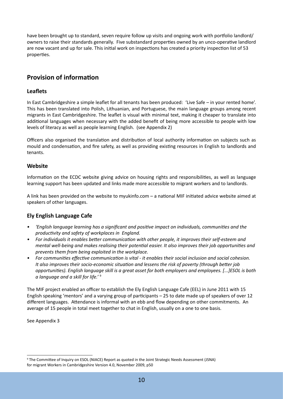have been brought up to standard, seven require follow up visits and ongoing work with portfolio landlord/ owners to raise their standards generally. Five substandard properties owned by an unco-operative landlord are now vacant and up for sale. This initial work on inspections has created a priority inspection list of 53 properties.

# **Provision of information**

#### **Leaflets**

In East Cambridgeshire a simple leaflet for all tenants has been produced: 'Live Safe – in your rented home'. This has been translated into Polish, Lithuanian, and Portuguese, the main language groups among recent migrants in East Cambridgeshire. The leaflet is visual with minimal text, making it cheaper to translate into additional languages when necessary with the added benefit of being more accessible to people with low levels of literacy as well as people learning English. (see Appendix 2)

Officers also organised the translation and distribution of local authority information on subjects such as mould and condensation, and fire safety, as well as providing existing resources in English to landlords and tenants.

#### **Website**

Information on the ECDC website giving advice on housing rights and responsibilities, as well as language learning support has been updated and links made more accessible to migrant workers and to landlords.

A link has been provided on the website to myukinfo.com – a national MIF initiated advice website aimed at speakers of other languages.

#### **Ely English Language Cafe**

- *'English language learning has a significant and positive impact on individuals, communities and the productivity and safety of workplaces in England. •*
- *For individuals it enables better communication with other people, it improves their self-esteem and mental well-being and makes realising their potential easier. It also improves their job opportunities and prevents them from being exploited in the workplace. •*
- *For communities effective communication is vital it enables their social inclusion and social cohesion. It also improves their socio-economic situation and lessens the risk of poverty (through better job opportunities). English language skill is a great asset for both employers and employees. [...]ESOL is both a language and a skill for life.'* <sup>9</sup> *•*

The MIF project enabled an officer to establish the Ely English Language Cafe (EEL) in June 2011 with 15 English speaking 'mentors' and a varying group of participants – 25 to date made up of speakers of over 12 different languages. Attendance is informal with an ebb and flow depending on other commitments. An average of 15 people in total meet together to chat in English, usually on a one to one basis.

See Appendix 3

<sup>9</sup> The Committee of Inquiry on ESOL (NIACE) Report as quoted in the Joint Strategic Needs Assessment (JSNA) for migrant Workers in Cambridgeshire Version 4.0, November 2009, p50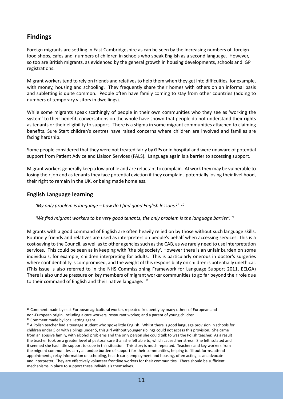# **Findings**

Foreign migrants are settling in East Cambridgeshire as can be seen by the increasing numbers of foreign food shops, cafes and numbers of children in schools who speak English as a second language. However, so too are British migrants, as evidenced by the general growth in housing developments, schools and GP registrations.

Migrant workers tend to rely on friends and relatives to help them when they get into difficulties, for example, with money, housing and schooling. They frequently share their homes with others on an informal basis and subletting is quite common. People often have family coming to stay from other countries (adding to numbers of temporary visitors in dwellings).

While some migrants speak scathingly of people in their own communities who they see as 'working the system' to their benefit, conversations on the whole have shown that people do not understand their rights as tenants or their eligibility to support. There is a stigma in some migrant communities attached to claiming benefits. Sure Start children's centres have raised concerns where children are involved and families are facing hardship.

Some people considered that they were not treated fairly by GPs or in hospital and were unaware of potential support from Patient Advice and Liaison Services (PALS). Language again is a barrier to accessing support.

Migrant workers generally keep a low profile and are reluctant to complain. At work they may be vulnerable to losing their job and as tenants they face potential eviction if they complain, potentially losing their livelihood, their right to remain in the UK, or being made homeless.

#### **English Language learning**

*'My only problem is language – how do I find good English lessons?' <sup>10</sup>*

'We find migrant workers to be very good tenants, the only problem is the language barrier'.<sup>11</sup>

Migrants with a good command of English are often heavily relied on by those without such language skills. Routinely friends and relatives are used as interpreters on people's behalf when accessing services. This is a cost-saving to the Council, as well as to other agencies such as the CAB, as we rarely need to use interpretation services. This could be seen as in keeping with 'the big society'. However there is an unfair burden on some individuals, for example, children interpreting for adults. This is particularly onerous in doctor's surgeries where confidentiality is compromised, and the weight of this responsibility on children is potentially unethical. (This issue is also referred to in the NHS Commissioning Framework for Language Support 2011, EELGA) There is also undue pressure on key members of migrant worker communities to go far beyond their role due to their command of English and their native language. <sup>12</sup>

<sup>&</sup>lt;sup>10</sup> Comment made by east European agricultural worker, repeated frequently by many others of European and non-European origin, including a care workers, restaurant worker, and a parent of young children.

<sup>&</sup>lt;sup>11</sup> Comment made by local letting agent.

 $12A$  Polish teacher had a teenage student who spoke little English. Whilst there is good language provision in schools for children under 5 or with siblings under 5, this girl without younger siblings could not access this provision. She came from an abusive family, with alcohol problems and the only person she could talk to was the Polish teacher. As a result the teacher took on a greater level of pastoral care than she felt able to, which caused her stress. She felt isolated and it seemed she had little support to cope in this situation. This story is much repeated. Teachers and key workers from the migrant communities carry an undue burden of support for their communities, helping to fill out forms, attend appointments, relay information on schooling, health care, employment and housing, often acting as an advocate and interpreter. They are effectively volunteer frontline workers for their communities. There should be sufficient mechanisms in place to support these individuals themselves.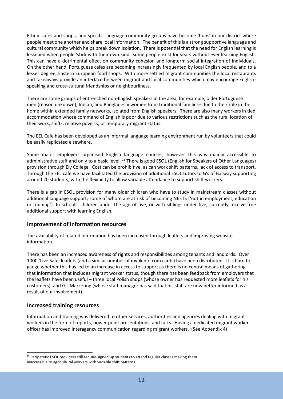Ethnic cafes and shops, and specific language community groups have become 'hubs' in our district where people meet one another and share local information. The benefit of this is a strong supportive language and cultural community which helps break down isolation. There is potential that the need for English learning is lessened when people 'stick with their own kind'. some people exist for years without ever learning English. This can have a detrimental effect on community cohesion and longterm social integration of individuals. On the other hand, Portuguese cafes are becoming increasingly frequented by local English people, and to a lesser degree, Eastern European food shops. With more settled migrant communities the local restaurants and takeaways provide an interface between migrant and local communities which may encourage Englishspeaking and cross-cultural friendships or neighbourliness.

There are some groups of entrenched non-English speakers in the area, for example, older Portuguese men (reason unknown), Indian, and Bangladeshi women from traditional families– due to their role in the home within extended family networks, isolated from English speakers. There are also many workers in tied accommodation whose command of English is poor due to various restrictions such as the rural location of their work, shifts, relative poverty, or temporary migrant status.

The EEL Cafe has been developed as an informal language learning environment run by volunteers that could be easily replicated elsewhere.

Some major employers organised English language courses, however this was mainly accessible to administrative staff and only to a basic level. 13 There is good ESOL (English for Speakers of Other Languages) provision through Ely College. Cost can be prohibitive, as can work shift patterns, lack of access to transport. Through the EEL cafe we have facilitated the provision of additional ESOL tutors to G's of Barway supporting around 20 students, with the flexibility to allow variable attendance to support shift workers.

There is a gap in ESOL provision for many older children who have to study in mainstream classes without additional language support, some of whom are at risk of becoming NEETS ('not in employment, education or training'). In schools, children under the age of five, or with siblings under five, currently receive free additional support with learning English.

#### **Improvement of information resources**

The availability of related information has been increased through leaflets and improving website information.

There has been an increased awareness of rights and responsibilities among tenants and landlords. Over 1000 'Live Safe' leaflets (and a similar number of myukinfo.com cards) have been distributed. It is hard to gauge whether this has led to an increase in access to support as there is no central means of gathering that information that includes migrant worker status, though there has been feedback from employers that the leaflets have been useful – three local Polish shops (whose owner has requested more leaflets for his customers), and G's Marketing (whose staff manager has said that his staff are now better informed as a result of our involvement).

#### **Increased training resources**

Information and training was delivered to other services, authorities and agencies dealing with migrant workers in the form of reports, power point presentations, and talks. Having a dedicated migrant worker officer has improved interagency communication regarding migrant workers. (See Appendix 4)

<sup>&</sup>lt;sup>13</sup> Peripatetic ESOL providers still require signed up students to attend regular classes making them inaccessible to agricultural workers with variable shift patterns.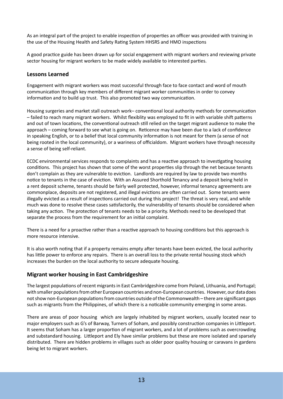As an integral part of the project to enable inspection of properties an officer was provided with training in the use of the Housing Health and Safety Rating System HHSRS and HMO inspections

A good practice guide has been drawn up for social engagement with migrant workers and reviewing private sector housing for migrant workers to be made widely available to interested parties.

#### **Lessons Learned**

Engagement with migrant workers was most successful through face to face contact and word of mouth communication through key members of different migrant worker communities in order to convey information and to build up trust. This also promoted two way communication.

Housing surgeries and market stall outreach work– conventional local authority methods for communication – failed to reach many migrant workers. Whilst flexiblity was employed to fit in with variable shift patterns and out of town locations, the conventional outreach still relied on the target migrant audience to make the approach – coming forward to see what is going on. Reticence may have been due to a lack of confidence in speaking English, or to a belief that local community information is not meant for them (a sense of not being rooted in the local community), or a wariness of officialdom. Migrant workers have through necessity a sense of being self-reliant.

ECDC environmental services responds to complaints and has a reactive approach to investigating housing conditions. This project has shown that some of the worst properties slip through the net because tenants don't complain as they are vulnerable to eviction. Landlords are required by law to provide two months notice to tenants in the case of eviction. With an Assured Shorthold Tenancy and a deposit being held in a rent deposit scheme, tenants should be fairly well protected, however, informal tenancy agreements are commonplace, deposits are not registered, and illegal evictions are often carried out. Some tenants were illegally evicted as a result of inspections carried out during this project! The threat is very real, and while much was done to resolve these cases satisfactorily, the vulnerability of tenants should be considered when taking any action. The protection of tenants needs to be a priority. Methods need to be developed that separate the process from the requirement for an initial complaint.

There is a need for a proactive rather than a reactive approach to housing conditions but this approach is more resource intensive.

It is also worth noting that if a property remains empty after tenants have been evicted, the local authority has little power to enforce any repairs. There is an overall loss to the private rental housing stock which increases the burden on the local authority to secure adequate housing.

#### **Migrant worker housing in East Cambridgeshire**

The largest populations of recent migrants in East Cambridgeshire come from Poland, Lithuania, and Portugal; with smaller populations from other European countries and non-European countries. However, our data does not show non-European populations from countries outside of the Commonwealth – there are significant gaps such as migrants from the Philippines, of which there is a noticable community emerging in some areas.

There are areas of poor housing which are largely inhabited by migrant workers, usually located near to major employers such as G's of Barway, Turners of Soham, and possibly construction companies in Littleport. It seems that Soham has a larger proportion of migrant workers, and a lot of problems such as overcrowding and substandard housing. Littleport and Ely have similar problems but these are more isolated and sparsely distributed. There are hidden problems in villages such as older poor quality housing or caravans in gardens being let to migrant workers.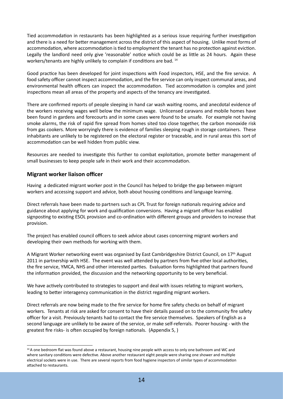Tied accommodation in restaurants has been highlighted as a serious issue requiring further investigation and there is a need for better management across the district of this aspect of housing. Unlike most forms of accommodation, where accommodation is tied to employment the tenant has no protection against eviction. Legally the landlord need only give 'reasonable' notice which could be as little as 24 hours. Again these workers/tenants are highly unlikely to complain if conditions are bad. <sup>14</sup>

Good practice has been developed for joint inspections with Food inspectors, HSE, and the fire service. A food safety officer cannot inspect accommodation, and the fire service can only inspect communal areas, and environmental health officers can inspect the accommodation. Tied accommodation is complex and joint inspections mean all areas of the property and aspects of the tenancy are investigated.

There are confirmed reports of people sleeping in hand car wash waiting rooms, and anecdotal evidence of the workers receiving wages well below the minimum wage. Unlicensed caravans and mobile homes have been found in gardens and forecourts and in some cases were found to be unsafe. For example not having smoke alarms, the risk of rapid fire spread from homes sited too close together, the carbon monoxide risk from gas cookers. More worryingly there is evidence of families sleeping rough in storage containers. These inhabitants are unlikely to be registered on the electoral register or traceable, and in rural areas this sort of accommodation can be well hidden from public view.

Resources are needed to investigate this further to combat exploitation, promote better management of small businesses to keep people safe in their work and their accommodation.

#### **Migrant worker liaison officer**

Having a dedicated migrant worker post in the Council has helped to bridge the gap between migrant workers and accessing support and advice, both about housing conditions and language learning.

Direct referrals have been made to partners such as CPL Trust for foreign nationals requiring advice and guidance about applying for work and qualification conversions. Having a migrant officer has enabled signposting to existing ESOL provision and co-ordination with different groups and providers to increase that provision.

The project has enabled council officers to seek advice about cases concerning migrant workers and developing their own methods for working with them.

A Migrant Worker networking event was organised by East Cambridgeshire District Council, on 17th August 2011 in partnership with HSE. The event was well attended by partners from five other local authorities, the fire service, YMCA, NHS and other interested parties. Evaluation forms highlighted that partners found the information provided, the discussion and the networking opportunity to be very beneficial.

We have actively contributed to strategies to support and deal with issues relating to migrant workers, leading to better interagency communication in the district regarding migrant workers.

Direct referrals are now being made to the fire service for home fire safety checks on behalf of migrant workers. Tenants at risk are asked for consent to have their details passed on to the community fire safety officer for a visit. Previously tenants had to contact the fire service themselves. Speakers of English as a second language are unlikely to be aware of the service, or make self-referrals. Poorer housing - with the greatest fire risks- is often occupied by foreign nationals. (Appendix 5, )

<sup>&</sup>lt;sup>14</sup> A one bedroom flat was found above a restaurant, housing nine people with access to only one bathroom and WC and where sanitary conditions were defective. Above another restaurant eight people were sharing one shower and multiple electrical sockets were in use. There are several reports from food hygiene inspectors of similar types of accommodation attached to restaurants.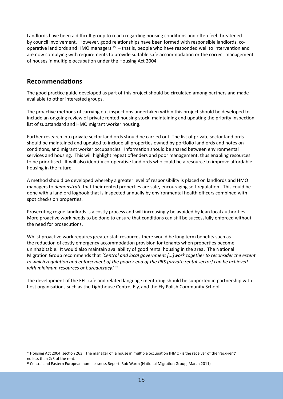Landlords have been a difficult group to reach regarding housing conditions and often feel threatened by council involvement. However, good relationships have been formed with responsible landlords, cooperative landlords and HMO managers 15 – that is, people who have responded well to intervention and are now complying with requirements to provide suitable safe accommodation or the correct management of houses in multiple occupation under the Housing Act 2004.

### **Recommendations**

The good practice guide developed as part of this project should be circulated among partners and made available to other interested groups.

The proactive methods of carrying out inspections undertaken within this project should be developed to include an ongoing review of private rented housing stock, maintaining and updating the priority inspection list of substandard and HMO migrant worker housing.

Further research into private sector landlords should be carried out. The list of private sector landlords should be maintained and updated to include all properties owned by portfolio landlords and notes on conditions, and migrant worker occupancies. Information should be shared between environmental services and housing. This will highlight repeat offenders and poor management, thus enabling resources to be prioritised. It will also identify co-operative landlords who could be a resource to improve affordable housing in the future.

A method should be developed whereby a greater level of responsibility is placed on landlords and HMO managers to *demonstrate* that their rented properties are safe, encouraging self-regulation. This could be done with a landlord logbook that is inspected annually by environmental health officers combined with spot checks on properties.

Prosecuting rogue landlords is a costly process and will increasingly be avoided by lean local authorities. More proactive work needs to be done to ensure that conditions can still be successfully enforced without the need for prosecutions.

Whilst proactive work requires greater staff resources there would be long term benefits such as the reduction of costly emergency accommodation provision for tenants when properties become uninhabitable. It would also maintain availability of good rental housing in the area. The National Migration Group recommends that *'Central and local government [...]work together to reconsider the extent to which regulation and enforcement of the poorer end of the PRS [private rental sector] can be achieved with minimum resources or bureaucracy.' <sup>16</sup>*

The development of the EEL cafe and related language mentoring should be supported in partnership with host organisations such as the Lighthouse Centre, Ely, and the Ely Polish Community School.

<sup>&</sup>lt;sup>15</sup> Housing Act 2004, section 263. The manager of a house in multiple occupation (HMO) is the receiver of the 'rack-rent' no less than 2/3 of the rent.

<sup>&</sup>lt;sup>16</sup> Central and Eastern European homelessness Report Rob Warm (National Migration Group, March 2011)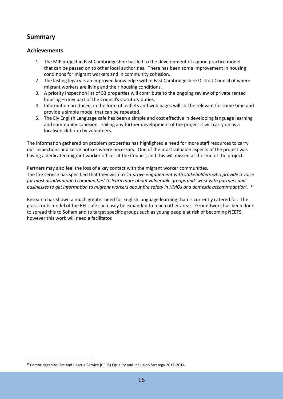### **Summary**

#### **Achievements**

- 1. The MIF project in East Cambridgeshire has led to the development of a good practice model that can be passed on to other local authorities. There has been some improvement in housing conditions for migrant workers and in community cohesion.
- 2. The lasting legacy is an improved knowledge within East Cambridgeshire District Council of where migrant workers are living and their housing conditions.
- 3. A priority inspection list of 53 properties will contribute to the ongoing review of private rented housing –a key part of the Council's statutory duties.
- 4. Information produced, in the form of leaflets and web pages will still be relevant for some time and provide a simple model that can be repeated.
- 5. The Ely English Language cafe has been a simple and cost effective in developing language learning and community cohesion. Failing any further development of the project it will carry on as a localised club run by volunteers.

The information gathered on problem properties has highlighted a need for more staff resources to carry out inspections and serve notices where necessary. One of the most valuable aspects of the project was having a dedicated migrant worker officer at the Council, and this will missed at the end of the project.

Partners may also feel the loss of a key contact with the migrant worker communities. The fire service has specified that they wish to *'improve engagement with stakeholders who provide a voice for most disadvantaged communities' to learn more about vulnerable groups and 'work with partners and businesses to get information to migrant workers about fire safety in HMOs and domestic accommodation'*. 17

Research has shown a much greater need for English language learning than is currently catered for. The grass-roots model of the EEL cafe can easily be expanded to reach other areas. Groundwork has been done to spread this to Soham and to target specific groups such as young people at risk of becoming NEETS, however this work will need a facilitator.

<sup>&</sup>lt;sup>17</sup> Cambridgeshire Fire and Rescue Service (CFRS) Equality and Inclusion Strategy 2011-2014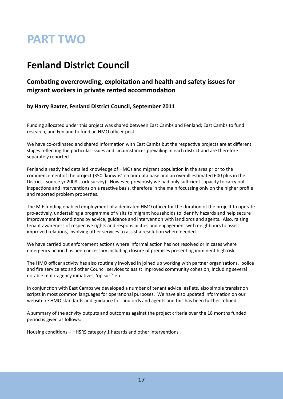# **PART TWO**

# **Fenland District Council**

# **Combating overcrowding, exploitation and health and safety issues for migrant workers in private rented accommodation**

### **by Harry Baxter, Fenland District Council, September 2011**

Funding allocated under this project was shared between East Cambs and Fenland; East Cambs to fund research, and Fenland to fund an HMO officer post.

We have co-ordinated and shared information with East Cambs but the respective projects are at different stages reflecting the particular issues and circumstances prevailing in each district and are therefore separately reported

Fenland already had detailed knowledge of HMOs and migrant population in the area prior to the commencement of the project (350 'knowns' on our data base and an overall estimated 600 plus in the District - source yr 2008 stock survey). However, previously we had only sufficient capacity to carry out inspections and interventions on a reactive basis, therefore in the main focussing only on the higher profile and reported problem properties.

The MIF funding enabled employment of a dedicated HMO officer for the duration of the project to operate pro-actively, undertaking a programme of visits to migrant households to identify hazards and help secure improvement in conditions by advice, guidance and intervention with landlords and agents. Also, raising tenant awareness of respective rights and responsibilities and engagement with neighbours to assist improved relations, involving other services to assist a resolution where needed.

We have carried out enforcement actions where informal action has not resolved or in cases where emergency action has been necessary including closure of premises presenting imminent high risk.

The HMO officer activity has also routinely involved in joined up working with partner organisations, police and fire service etc and other Council services to assist improved community cohesion, including several notable multi-agency initiatives, 'op surf' etc.

In conjunction with East Cambs we developed a number of tenant advice leaflets, also simple translation scripts in most common languages for operational purposes. We have also updated information on our website re HMO standards and guidance for landlords and agents and this has been further refined

A summary of the activity outputs and outcomes against the project criteria over the 18 months funded period is given as follows:

Housing conditions – HHSRS category 1 hazards and other interventions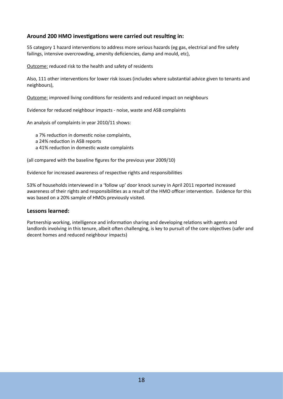#### **Around 200 HMO investigations were carried out resulting in:**

55 category 1 hazard interventions to address more serious hazards (eg gas, electrical and fire safety failings, intensive overcrowding, amenity deficiencies, damp and mould, etc),

Outcome: reduced risk to the health and safety of residents

Also, 111 other interventions for lower risk issues (includes where substantial advice given to tenants and neighbours),

Outcome: improved living conditions for residents and reduced impact on neighbours

Evidence for reduced neighbour impacts - noise, waste and ASB complaints

An analysis of complaints in year 2010/11 shows:

a 7% reduction in domestic noise complaints,

- a 24% reduction in ASB reports
- a 41% reduction in domestic waste complaints

(all compared with the baseline figures for the previous year 2009/10)

Evidence for increased awareness of respective rights and responsibilities

53% of households interviewed in a 'follow up' door knock survey in April 2011 reported increased awareness of their rights and responsibilities as a result of the HMO officer intervention. Evidence for this was based on a 20% sample of HMOs previously visited.

#### **Lessons learned:**

Partnership working, intelligence and information sharing and developing relations with agents and landlords involving in this tenure, albeit often challenging, is key to pursuit of the core objectives (safer and decent homes and reduced neighbour impacts)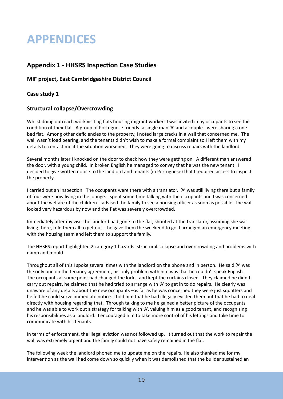# **APPENDICES**

### **Appendix 1 - HHSRS Inspection Case Studies**

#### **MIF project, East Cambridgeshire District Council**

#### **Case study 1**

#### **Structural collapse/Overcrowding**

Whilst doing outreach work visiting flats housing migrant workers I was invited in by occupants to see the condition of their flat. A group of Portuguese friends- a single man 'A' and a couple - were sharing a one bed flat. Among other deficiencies to the property, I noted large cracks in a wall that concerned me. The wall wasn't load bearing, and the tenants didn't wish to make a formal complaint so I left them with my details to contact me if the situation worsened. They were going to discuss repairs with the landlord.

Several months later I knocked on the door to check how they were getting on. A different man answered the door, with a young child. In broken English he managed to convey that he was the new tenant. I decided to give written notice to the landlord and tenants (in Portuguese) that I required access to inspect the property.

I carried out an inspection. The occupants were there with a translator. 'A' was still living there but a family of four were now living in the lounge. I spent some time talking with the occupants and I was concerned about the welfare of the children. I advised the family to see a housing officer as soon as possible. The wall looked very hazardous by now and the flat was severely overcrowded.

Immediately after my visit the landlord had gone to the flat, shouted at the translator, assuming she was living there, told them all to get out – he gave them the weekend to go. I arranged an emergency meeting with the housing team and left them to support the family.

The HHSRS report highlighted 2 category 1 hazards: structural collapse and overcrowding and problems with damp and mould.

Throughout all of this I spoke several times with the landlord on the phone and in person. He said 'A' was the only one on the tenancy agreement, his only problem with him was that he couldn't speak English. The occupants at some point had changed the locks, and kept the curtains closed. They claimed he didn't carry out repairs, he claimed that he had tried to arrange with 'A' to get in to do repairs. He clearly was unaware of any details about the new occupants –as far as he was concerned they were just squatters and he felt he could serve immediate notice. I told him that he had illegally evicted them but that he had to deal directly with housing regarding that. Through talking to me he gained a better picture of the occupants and he was able to work out a strategy for talking with 'A', valuing him as a good tenant, and recognising his responsibilities as a landlord. I encouraged him to take more control of his lettings and take time to communicate with his tenants.

In terms of enforcement, the illegal eviction was not followed up. It turned out that the work to repair the wall was extremely urgent and the family could not have safely remained in the flat.

The following week the landlord phoned me to update me on the repairs. He also thanked me for my intervention as the wall had come down so quickly when it was demolished that the builder sustained an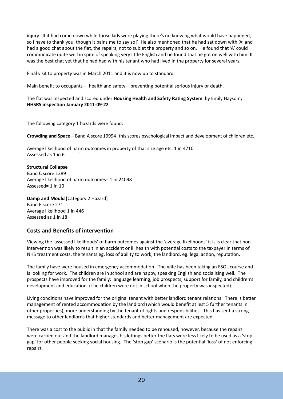injury. 'If it had come down while those kids were playing there's no knowing what would have happened, so I have to thank you, though it pains me to say so!' He also mentioned that he had sat down with 'A' and had a good chat about the flat, the repairs, not to sublet the property and so on. He found that 'A' could communicate quite well in spite of speaking very little English and he found that he got on well with him. It was the best chat yet that he had had with his tenant who had lived in the property for several years.

Final visit to property was in March 2011 and it is now up to standard.

Main benefit to occupants – health and safety – preventing potential serious injury or death.

The flat was inspected and scored under **Housing Health and Safety Rating System** by Emily Haysom**; HHSRS inspection January 2011-09-22**

The following category 1 hazards were found:

**Crowding and Space** – Band A score 19994 [this scores psychological impact and development of children etc.]

Average likelihood of harm outcomes in property of that size age etc. 1 in 4710 Assessed as 1 in 6 `

**Structural Collapse** Band C score 1389 Average likelihood of harm outcomes= 1 in 24098 Assessed= 1 in 10

**Damp and Mould** [Category 2 Hazard] Band E score 271 Average likelihood 1 in 446 Assessed as 1 in 18

#### **Costs and Benefits of intervention**

Viewing the 'assessed likelihoods' of harm outcomes against the 'average likelihoods' it is is clear that nonintervention was likely to result in an accident or ill health with potential costs to the taxpayer in terms of NHS treatment costs, the tenants eg. loss of ability to work, the landlord, eg. legal action, reputation.

The family have were housed in emergency accommodation. The wife has been taking an ESOL course and is looking for work. The children are in school and are happy, speaking English and socialising well. The prospects have improved for the family: language learning, job prospects, support for family, and children's development and education. (The children were not in school when the property was inspected).

Living conditions have improved for the original tenant with better landlord tenant relations. There is better management of rented accommodation by the landlord (which would benefit at lest 5 further tenants in other properties), more understanding by the tenant of rights and responsibilities. This has sent a strong message to other landlords that higher standards and better management are expected.

There was a cost to the public in that the family needed to be rehoused, however, because the repairs were carried out and the landlord manages his lettings better the flats were less likely to be used as a 'stop gap' for other people seeking social housing. The 'stop gap' scenario is the potential 'loss' of not enforcing repairs.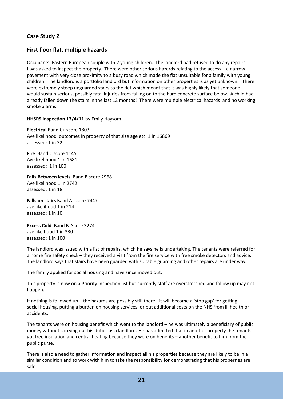#### **Case Study 2**

#### **First floor flat, multiple hazards**

Occupants: Eastern European couple with 2 young children. The landlord had refused to do any repairs. I was asked to inspect the property. There were other serious hazards relating to the access – a narrow pavement with very close proximity to a busy road which made the flat unsuitable for a family with young children. The landlord is a portfolio landlord but information on other properties is as yet unknown. There were extremely steep unguarded stairs to the flat which meant that it was highly likely that someone would sustain serious, possibly fatal injuries from falling on to the hard concrete surface below. A child had already fallen down the stairs in the last 12 months! There were multiple electrical hazards and no working smoke alarms.

**HHSRS Inspection 13/4/11** by Emily Haysom

**Electrical** Band C+ score 1803 Ave likelihood outcomes in property of that size age etc 1 in 16869 assessed: 1 in 32

**Fire** Band C score 1145 Ave likelihood 1 in 1681 assessed: 1 in 100

**Falls Between levels** Band B score 2968 Ave likelihood 1 in 2742 assessed: 1 in 18

**Falls on stairs** Band A score 7447 ave likelihood 1 in 214 assessed: 1 in 10

**Excess Cold** Band B Score 3274 ave likelhood 1 in 330 assessed: 1 in 100

The landlord was issued with a list of repairs, which he says he is undertaking. The tenants were referred for a home fire safety check – they received a visit from the fire service with free smoke detectors and advice. The landlord says that stairs have been guarded with suitable guarding and other repairs are under way.

The family applied for social housing and have since moved out.

This property is now on a Priority Inspection list but currently staff are overstretched and follow up may not happen.

If nothing is followed up – the hazards are possibly still there - it will become a 'stop gap' for getting social housing, putting a burden on housing services, or put additional costs on the NHS from ill health or accidents.

The tenants were on housing benefit which went to the landlord – he was ultimately a beneficiary of public money without carrying out his duties as a landlord. He has admitted that in another property the tenants got free insulation and central heating because they were on benefits – another benefit to him from the public purse.

There is also a need to gather information and inspect all his properties because they are likely to be in a similar condition and to work with him to take the responsibility for demonstrating that his properties are safe.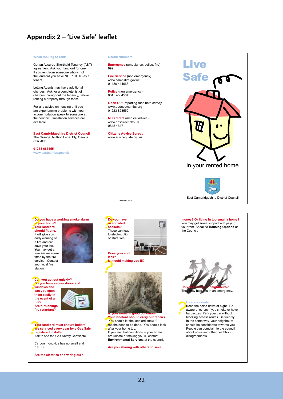# **Appendix 2 – 'Live Safe' leaflet**

#### **When looking to rent:**

Get an Assured Shorthold Tenancy (AST) agreement. Ask your landlord for one. If you rent from someone who is not the landlord you have NO RIGHTS as a tenant.

Letting Agents may have additional charges. Ask for a complete list of charges throughout the tenancy, before renting a property through them.

For any advice on housing or if you are experiencing problems with your accommodation speak to someone at the council. Translation services are available.

**East Cambridgeshire District Council** The Grange, Nutholt Lane, Ely, Cambs CB7 4EE

#### **01353 665555 www.eastcambs.gov.uk**

**Useful Numbers**

**Emergency** (ambulance, police, fire) 999

**Fire Service** (non emergency) www.cambsfire.gov.uk 01480 444666

**Police** (non emergency) 0345 4564564

**Open Out** (reporting race hate crime): www.openoutcambs.org 01223 823552

**NHS direct** (medical advice) www.nhsdirect.nhs.uk 0845 4647

**Citizens Advice Bureau**  www.adviceguide.org.uk

October 2010





East Cambridgeshire District Council

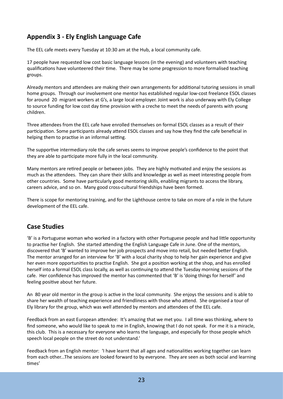# **Appendix 3 - Ely English Language Cafe**

The EEL cafe meets every Tuesday at 10:30 am at the Hub, a local community cafe.

17 people have requested low cost basic language lessons (in the evening) and volunteers with teaching qualifications have volunteered their time. There may be some progression to more formalised teaching groups.

Already mentors and attendees are making their own arrangements for additional tutoring sessions in small home groups. Through our involvement one mentor has established regular low-cost freelance ESOL classes for around 20 migrant workers at G's, a large local employer. Joint work is also underway with Ely College to source funding for low cost day time provision with a creche to meet the needs of parents with young children.

Three attendees from the EEL cafe have enrolled themselves on formal ESOL classes as a result of their participation. Some participants already attend ESOL classes and say how they find the cafe beneficial in helping them to practise in an informal setting.

The supportive intermediary role the cafe serves seems to improve people's confidence to the point that they are able to participate more fully in the local community.

Many mentors are retired people or between jobs. They are highly motivated and enjoy the sessions as much as the attendees. They can share their skills and knowledge as well as meet interesting people from other countries. Some have particularly good mentoring skills, enabling migrants to access the library, careers advice, and so on. Many good cross-cultural friendships have been formed.

There is scope for mentoring training, and for the Lighthouse centre to take on more of a role in the future development of the EEL cafe.

# **Case Studies**

'B' is a Portuguese woman who worked in a factory with other Portuguese people and had little opportunity to practise her English. She started attending the English Language Cafe in June. One of the mentors, discovered that 'B' wanted to improve her job prospects and move into retail, but needed better English. The mentor arranged for an interview for 'B' with a local charity shop to help her gain experience and give her even more opportunities to practise English. She got a position working at the shop, and has enrolled herself into a formal ESOL class locally, as well as continuing to attend the Tuesday morning sessions of the cafe. Her confidence has improved the mentor has commented that 'B' is 'doing things for herself' and feeling positive about her future.

An 80 year old mentor in the group is active in the local community. She enjoys the sessions and is able to share her wealth of teaching experience and friendliness with those who attend. She organised a tour of Ely library for the group, which was well attended by mentors and attendees of the EEL cafe.

Feedback from an east European attendee: It's amazing that we met you. I all time was thinking, where to find someone, who would like to speak to me in English, knowing that I do not speak. For me it is a miracle, this club. This is a necessary for everyone who learns the language, and especially for those people which speech local people on the street do not understand.'

Feedback from an English mentor: 'I have learnt that all ages and nationalities working together can learn from each other...The sessions are looked forward to by everyone. They are seen as both social and learning times'